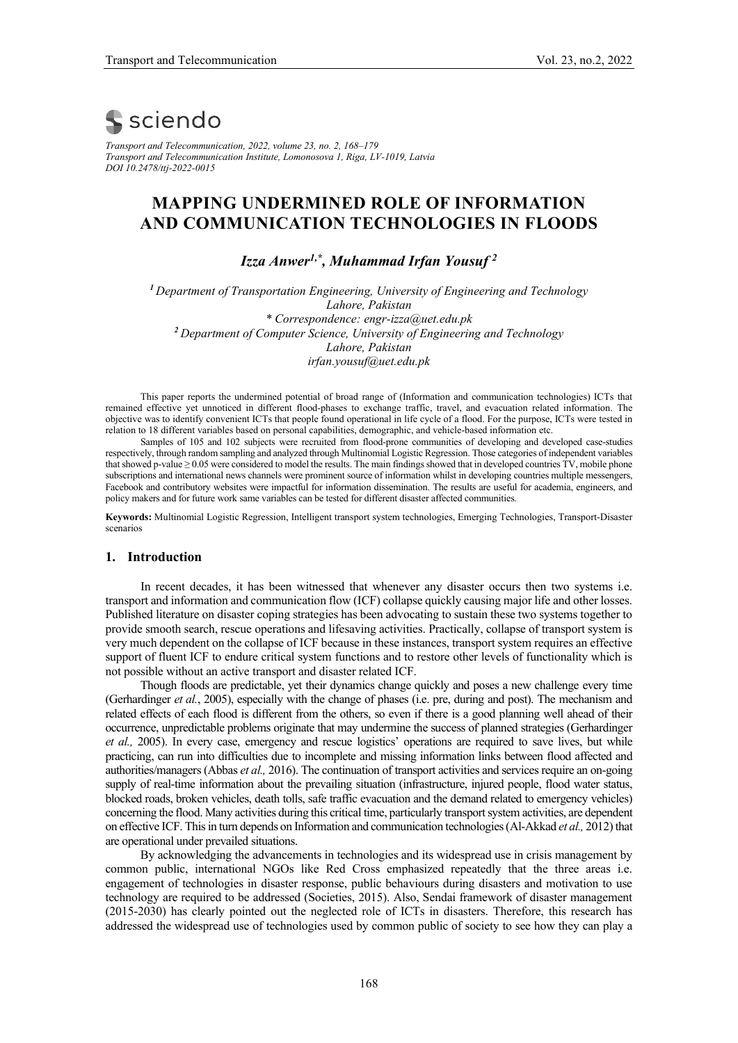

*Transport and Telecommunication, 2022, volume 23, no. 2, 168–179 Transport and Telecommunication Institute, Lomonosova 1, Riga, LV-1019, Latvia DOI 10.2478/ttj-2022-0015* 

# **MAPPING UNDERMINED ROLE OF INFORMATION AND COMMUNICATION TECHNOLOGIES IN FLOODS**

*Izza Anwer1,\*, Muhammad Irfan Yousuf <sup>2</sup>*

*<sup>1</sup>Department of Transportation Engineering, University of Engineering and Technology Lahore, Pakistan \* Correspondence[: engr-izza@uet.edu.pk](mailto:engr-izza@uet.edu.pk) <sup>2</sup>Department of Computer Science, University of Engineering and Technology Lahore, Pakistan irfan.yousuf@uet.edu.pk*

This paper reports the undermined potential of broad range of (Information and communication technologies) ICTs that remained effective yet unnoticed in different flood-phases to exchange traffic, travel, and evacuation related information. The objective was to identify convenient ICTs that people found operational in life cycle of a flood. For the purpose, ICTs were tested in relation to 18 different variables based on personal capabilities, demographic, and vehicle-based information etc.

Samples of 105 and 102 subjects were recruited from flood-prone communities of developing and developed case-studies respectively, through random sampling and analyzed through Multinomial Logistic Regression. Those categories of independent variables that showed p-value ≥ 0.05 were considered to model the results. The main findings showed that in developed countries TV, mobile phone subscriptions and international news channels were prominent source of information whilst in developing countries multiple messengers, Facebook and contributory websites were impactful for information dissemination. The results are useful for academia, engineers, and policy makers and for future work same variables can be tested for different disaster affected communities.

**Keywords:** Multinomial Logistic Regression, Intelligent transport system technologies, Emerging Technologies, Transport-Disaster scenarios

#### **1. Introduction**

In recent decades, it has been witnessed that whenever any disaster occurs then two systems i.e. transport and information and communication flow (ICF) collapse quickly causing major life and other losses. Published literature on disaster coping strategies has been advocating to sustain these two systems together to provide smooth search, rescue operations and lifesaving activities. Practically, collapse of transport system is very much dependent on the collapse of ICF because in these instances, transport system requires an effective support of fluent ICF to endure critical system functions and to restore other levels of functionality which is not possible without an active transport and disaster related ICF.

Though floods are predictable, yet their dynamics change quickly and poses a new challenge every time (Gerhardinger *et al.*, 2005), especially with the change of phases (i.e. pre, during and post). The mechanism and related effects of each flood is different from the others, so even if there is a good planning well ahead of their occurrence, unpredictable problems originate that may undermine the success of planned strategies (Gerhardinger *et al.,* 2005). In every case, emergency and rescue logistics' operations are required to save lives, but while practicing, can run into difficulties due to incomplete and missing information links between flood affected and authorities/managers(Abbas *et al.,* 2016). The continuation of transport activities and services require an on-going supply of real-time information about the prevailing situation (infrastructure, injured people, flood water status, blocked roads, broken vehicles, death tolls, safe traffic evacuation and the demand related to emergency vehicles) concerning the flood. Many activities during this critical time, particularly transport system activities, are dependent on effective ICF. This in turn depends on Information and communication technologies(Al-Akkad *et al.,* 2012) that are operational under prevailed situations.

By acknowledging the advancements in technologies and its widespread use in crisis management by common public, international NGOs like Red Cross emphasized repeatedly that the three areas i.e. engagement of technologies in disaster response, public behaviours during disasters and motivation to use technology are required to be addressed (Societies, 2015). Also, Sendai framework of disaster management (2015-2030) has clearly pointed out the neglected role of ICTs in disasters. Therefore, this research has addressed the widespread use of technologies used by common public of society to see how they can play a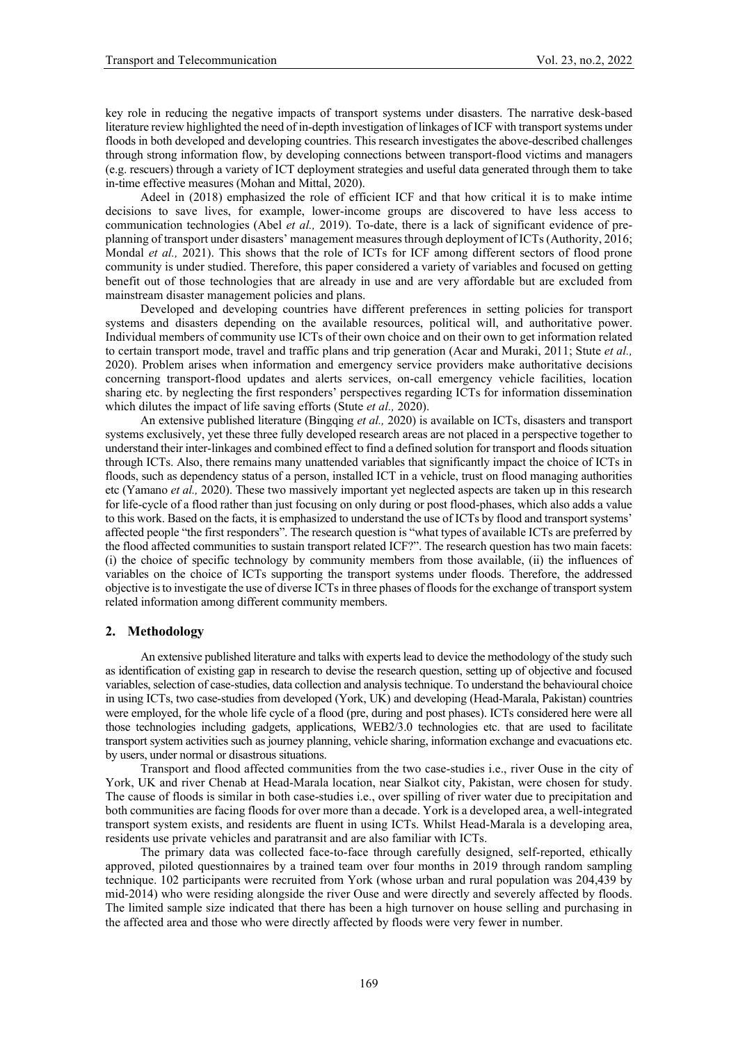key role in reducing the negative impacts of transport systems under disasters. The narrative desk-based literature review highlighted the need of in-depth investigation of linkages of ICF with transport systems under floods in both developed and developing countries. This research investigates the above-described challenges through strong information flow, by developing connections between transport-flood victims and managers (e.g. rescuers) through a variety of ICT deployment strategies and useful data generated through them to take in-time effective measures (Mohan and Mittal, 2020).

Adeel in (2018) emphasized the role of efficient ICF and that how critical it is to make intime decisions to save lives, for example, lower-income groups are discovered to have less access to communication technologies (Abel *et al.,* 2019). To-date, there is a lack of significant evidence of preplanning of transport under disasters' management measures through deployment of ICTs (Authority, 2016; Mondal *et al.*, 2021). This shows that the role of ICTs for ICF among different sectors of flood prone community is under studied. Therefore, this paper considered a variety of variables and focused on getting benefit out of those technologies that are already in use and are very affordable but are excluded from mainstream disaster management policies and plans.

Developed and developing countries have different preferences in setting policies for transport systems and disasters depending on the available resources, political will, and authoritative power. Individual members of community use ICTs of their own choice and on their own to get information related to certain transport mode, travel and traffic plans and trip generation (Acar and Muraki, 2011; Stute *et al.,* 2020). Problem arises when information and emergency service providers make authoritative decisions concerning transport-flood updates and alerts services, on-call emergency vehicle facilities, location sharing etc. by neglecting the first responders' perspectives regarding ICTs for information dissemination which dilutes the impact of life saving efforts (Stute *et al.,* 2020).

An extensive published literature (Bingqing *et al.,* 2020) is available on ICTs, disasters and transport systems exclusively, yet these three fully developed research areas are not placed in a perspective together to understand their inter-linkages and combined effect to find a defined solution for transport and floods situation through ICTs. Also, there remains many unattended variables that significantly impact the choice of ICTs in floods, such as dependency status of a person, installed ICT in a vehicle, trust on flood managing authorities etc (Yamano *et al.,* 2020). These two massively important yet neglected aspects are taken up in this research for life-cycle of a flood rather than just focusing on only during or post flood-phases, which also adds a value to this work. Based on the facts, it is emphasized to understand the use of ICTs by flood and transport systems' affected people "the first responders". The research question is "what types of available ICTs are preferred by the flood affected communities to sustain transport related ICF?". The research question has two main facets: (i) the choice of specific technology by community members from those available, (ii) the influences of variables on the choice of ICTs supporting the transport systems under floods. Therefore, the addressed objective is to investigate the use of diverse ICTsin three phases of floods for the exchange of transport system related information among different community members.

#### **2. Methodology**

An extensive published literature and talks with experts lead to device the methodology of the study such as identification of existing gap in research to devise the research question, setting up of objective and focused variables, selection of case-studies, data collection and analysis technique. To understand the behavioural choice in using ICTs, two case-studies from developed (York, UK) and developing (Head-Marala, Pakistan) countries were employed, for the whole life cycle of a flood (pre, during and post phases). ICTs considered here were all those technologies including gadgets, applications, WEB2/3.0 technologies etc. that are used to facilitate transport system activities such as journey planning, vehicle sharing, information exchange and evacuations etc. by users, under normal or disastrous situations.

Transport and flood affected communities from the two case-studies i.e., river Ouse in the city of York, UK and river Chenab at Head-Marala location, near Sialkot city, Pakistan, were chosen for study. The cause of floods is similar in both case-studies i.e., over spilling of river water due to precipitation and both communities are facing floods for over more than a decade. York is a developed area, a well-integrated transport system exists, and residents are fluent in using ICTs. Whilst Head-Marala is a developing area, residents use private vehicles and paratransit and are also familiar with ICTs.

The primary data was collected face-to-face through carefully designed, self-reported, ethically approved, piloted questionnaires by a trained team over four months in 2019 through random sampling technique. 102 participants were recruited from York (whose urban and rural population was 204,439 by mid-2014) who were residing alongside the river Ouse and were directly and severely affected by floods. The limited sample size indicated that there has been a high turnover on house selling and purchasing in the affected area and those who were directly affected by floods were very fewer in number.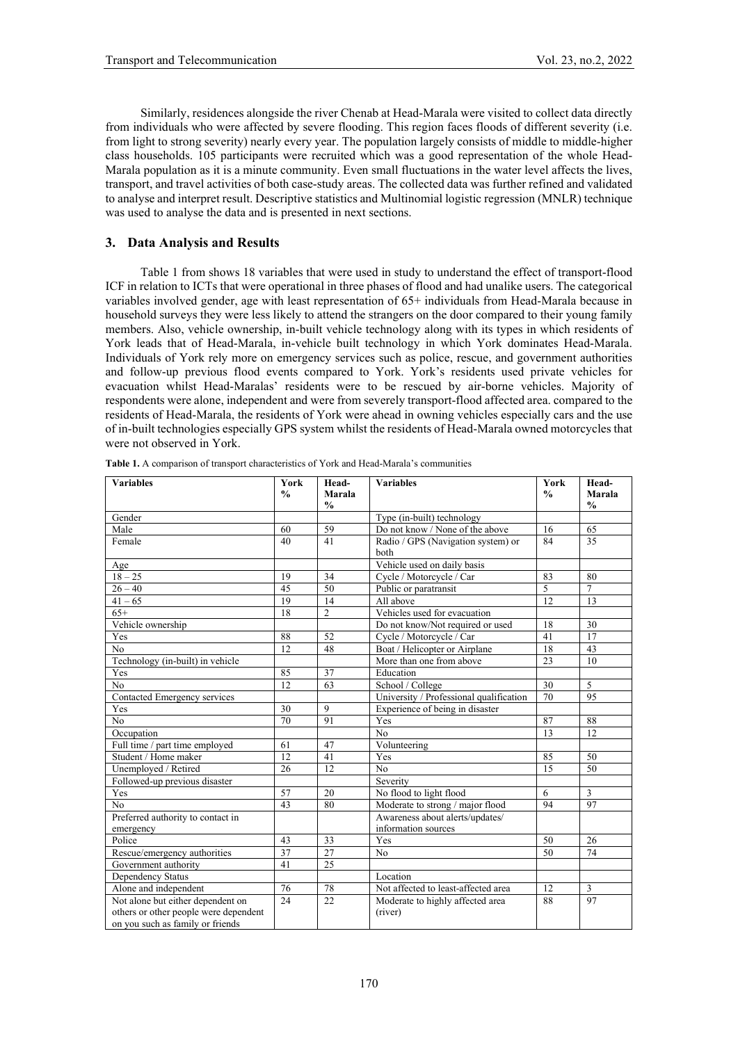Similarly, residences alongside the river Chenab at Head-Marala were visited to collect data directly from individuals who were affected by severe flooding. This region faces floods of different severity (i.e. from light to strong severity) nearly every year. The population largely consists of middle to middle-higher class households. 105 participants were recruited which was a good representation of the whole Head-Marala population as it is a minute community. Even small fluctuations in the water level affects the lives, transport, and travel activities of both case-study areas. The collected data was further refined and validated to analyse and interpret result. Descriptive statistics and Multinomial logistic regression (MNLR) technique was used to analyse the data and is presented in next sections.

### **3. Data Analysis and Results**

Table 1 from shows 18 variables that were used in study to understand the effect of transport-flood ICF in relation to ICTs that were operational in three phases of flood and had unalike users. The categorical variables involved gender, age with least representation of 65+ individuals from Head-Marala because in household surveys they were less likely to attend the strangers on the door compared to their young family members. Also, vehicle ownership, in-built vehicle technology along with its types in which residents of York leads that of Head-Marala, in-vehicle built technology in which York dominates Head-Marala. Individuals of York rely more on emergency services such as police, rescue, and government authorities and follow-up previous flood events compared to York. York's residents used private vehicles for evacuation whilst Head-Maralas' residents were to be rescued by air-borne vehicles. Majority of respondents were alone, independent and were from severely transport-flood affected area. compared to the residents of Head-Marala, the residents of York were ahead in owning vehicles especially cars and the use of in-built technologies especially GPS system whilst the residents of Head-Marala owned motorcycles that were not observed in York.

| <b>Variables</b>                      | <b>York</b><br>$\frac{0}{0}$ | Head-<br>Marala | <b>Variables</b>                        | York<br>$\frac{0}{0}$ | Head-<br>Marala |
|---------------------------------------|------------------------------|-----------------|-----------------------------------------|-----------------------|-----------------|
|                                       |                              | $\frac{0}{0}$   |                                         |                       | $\frac{0}{0}$   |
| Gender                                |                              |                 | Type (in-built) technology              |                       |                 |
| Male                                  | 60                           | 59              | Do not know / None of the above         | 16                    | 65              |
| Female                                | 40                           | 41              | Radio / GPS (Navigation system) or      | 84                    | $\overline{35}$ |
|                                       |                              |                 | both                                    |                       |                 |
| Age                                   |                              |                 | Vehicle used on daily basis             |                       |                 |
| $18 - 25$                             | 19                           | 34              | Cycle / Motorcycle / Car                | 83                    | 80              |
| $26 - 40$                             | 45                           | 50              | Public or paratransit                   | 5                     | 7               |
| $41 - 65$                             | 19                           | 14              | All above                               | 12                    | 13              |
| $65+$                                 | 18                           | $\overline{2}$  | Vehicles used for evacuation            |                       |                 |
| Vehicle ownership                     |                              |                 | Do not know/Not required or used        | 18                    | 30              |
| Yes                                   | 88                           | 52              | Cycle / Motorcycle / Car                | 41                    | 17              |
| N <sub>0</sub>                        | 12                           | 48              | Boat / Helicopter or Airplane           | 18                    | 43              |
| Technology (in-built) in vehicle      |                              |                 | More than one from above                | 23                    | 10              |
| Yes                                   | 85                           | 37              | Education                               |                       |                 |
| No                                    | 12                           | 63              | School / College                        | 30                    | 5               |
| Contacted Emergency services          |                              |                 | University / Professional qualification | 70                    | 95              |
| Yes                                   | 30                           | 9               | Experience of being in disaster         |                       |                 |
| N <sub>0</sub>                        | 70                           | 91              | Yes                                     | 87                    | 88              |
| Occupation                            |                              |                 | No                                      | 13                    | 12              |
| Full time / part time employed        | 61                           | 47              | Volunteering                            |                       |                 |
| Student / Home maker                  | 12                           | 41              | Yes                                     | 85                    | 50              |
| Unemployed / Retired                  | 26                           | 12              | No                                      | 15                    | 50              |
| Followed-up previous disaster         |                              |                 | Severity                                |                       |                 |
| Yes                                   | 57                           | 20              | No flood to light flood                 | 6                     | 3               |
| No                                    | 43                           | 80              | Moderate to strong / major flood        | 94                    | 97              |
| Preferred authority to contact in     |                              |                 | Awareness about alerts/updates/         |                       |                 |
| emergency                             |                              |                 | information sources                     |                       |                 |
| Police                                | 43                           | 33              | Yes                                     | 50                    | 26              |
| Rescue/emergency authorities          | $\overline{37}$              | 27              | N <sub>0</sub>                          | 50                    | 74              |
| Government authority                  | 41                           | 25              |                                         |                       |                 |
| Dependency Status                     |                              |                 | Location                                |                       |                 |
| Alone and independent                 | 76                           | 78              | Not affected to least-affected area     | 12                    | $\overline{3}$  |
| Not alone but either dependent on     | 24                           | 22              | Moderate to highly affected area        | 88                    | 97              |
| others or other people were dependent |                              |                 | (river)                                 |                       |                 |
| on you such as family or friends      |                              |                 |                                         |                       |                 |

**Table 1.** A comparison of transport characteristics of York and Head-Marala's communities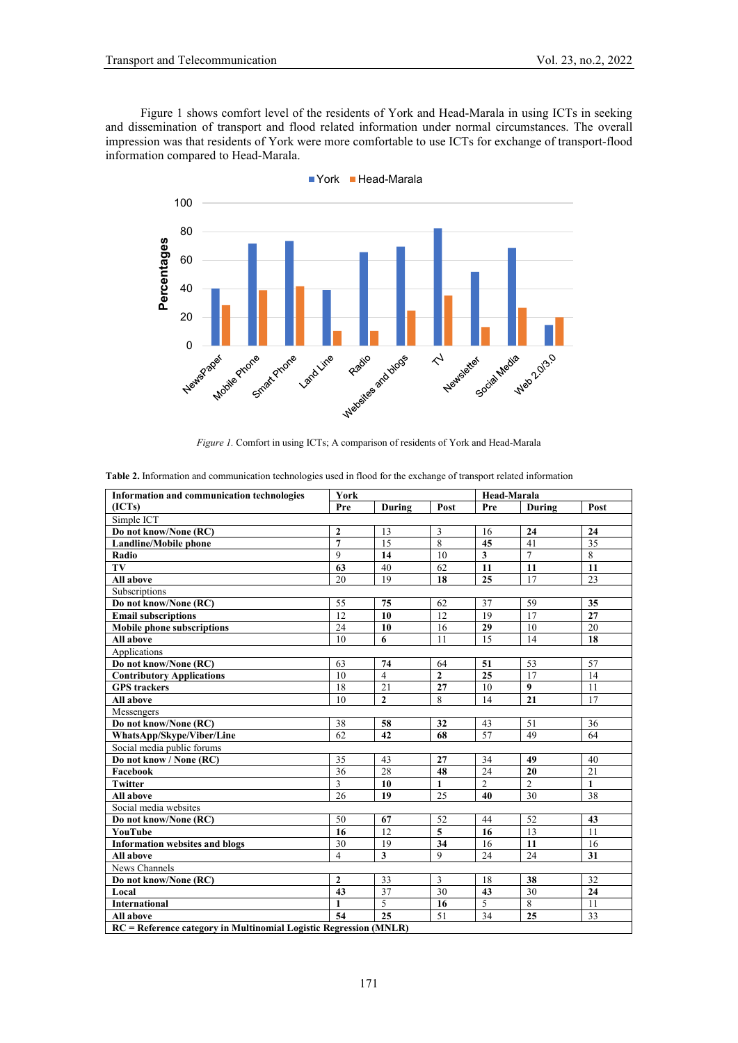Figure 1 shows comfort level of the residents of York and Head-Marala in using ICTs in seeking and dissemination of transport and flood related information under normal circumstances. The overall impression was that residents of York were more comfortable to use ICTs for exchange of transport-flood information compared to Head-Marala.



■ York Head-Marala

*Figure 1.* Comfort in using ICTs; A comparison of residents of York and Head-Marala

| Information and communication technologies                          | York             |                 |                | Head-Marala    |                |              |
|---------------------------------------------------------------------|------------------|-----------------|----------------|----------------|----------------|--------------|
| (ICTs)                                                              | Pre              | During          | Post           | Pre            | During         | Post         |
| Simple ICT                                                          |                  |                 |                |                |                |              |
| Do not know/None (RC)                                               | $\overline{2}$   | 13              | 3              | 16             | 24             | 24           |
| <b>Landline/Mobile phone</b>                                        | $\overline{7}$   | 15              | 8              | 45             | 41             | 35           |
| Radio                                                               | $\mathbf{Q}$     | 14              | 10             | 3              | $\overline{7}$ | 8            |
| TV                                                                  | 63               | 40              | 62             | 11             | 11             | 11           |
| All above                                                           | 20               | 19              | 18             | 25             | 17             | 23           |
| Subscriptions                                                       |                  |                 |                |                |                |              |
| Do not know/None (RC)                                               | 55               | 75              | 62             | 37             | 59             | 35           |
| <b>Email subscriptions</b>                                          | 12               | 10              | 12             | 19             | 17             | 27           |
| <b>Mobile phone subscriptions</b>                                   | 24               | 10              | 16             | 29             | 10             | 20           |
| All above                                                           | 10               | 6               | 11             | 15             | 14             | 18           |
| Applications                                                        |                  |                 |                |                |                |              |
| Do not know/None (RC)                                               | 63               | 74              | 64             | 51             | 53             | 57           |
| <b>Contributory Applications</b>                                    | 10 <sup>10</sup> | $\overline{4}$  | $\overline{2}$ | 25             | 17             | 14           |
| <b>GPS</b> trackers                                                 | 18               | 21              | 27             | 10             | 9              | 11           |
| All above                                                           | 10               | $\overline{2}$  | 8              | 14             | 21             | 17           |
| Messengers                                                          |                  |                 |                |                |                |              |
| Do not know/None (RC)                                               | 38               | 58              | 32             | 43             | 51             | 36           |
| WhatsApp/Skype/Viber/Line                                           | 62               | 42              | 68             | 57             | 49             | 64           |
| Social media public forums                                          |                  |                 |                |                |                |              |
| Do not know / None (RC)                                             | 35               | 43              | 27             | 34             | 49             | 40           |
| Facebook                                                            | 36               | 28              | 48             | 24             | 20             | 21           |
| <b>Twitter</b>                                                      | $\overline{3}$   | 10              | 1              | $\overline{2}$ | $\overline{2}$ | $\mathbf{1}$ |
| All above                                                           | 26               | 19              | 25             | 40             | 30             | 38           |
| Social media websites                                               |                  |                 |                |                |                |              |
| Do not know/None (RC)                                               | 50               | 67              | 52             | 44             | 52             | 43           |
| YouTube                                                             | 16               | 12              | 5              | 16             | 13             | 11           |
| <b>Information websites and blogs</b>                               | 30               | 19              | 34             | 16             | 11             | 16           |
| All above                                                           | $\overline{4}$   | $\overline{3}$  | $\overline{9}$ | 24             | 24             | 31           |
| News Channels                                                       |                  |                 |                |                |                |              |
| Do not know/None (RC)                                               | $\overline{2}$   | 33              | $\overline{3}$ | 18             | 38             | 32           |
| Local                                                               | 43               | $\overline{37}$ | 30             | 43             | 30             | 24           |
| <b>International</b>                                                | $\mathbf{1}$     | 5               | 16             | 5              | 8              | 11           |
| All above                                                           | 54               | 25              | 51             | 34             | 25             | 33           |
| $RC = Reference category$ in Multinomial Logistic Regression (MNLR) |                  |                 |                |                |                |              |

**Table 2.** Information and communication technologies used in flood for the exchange of transport related information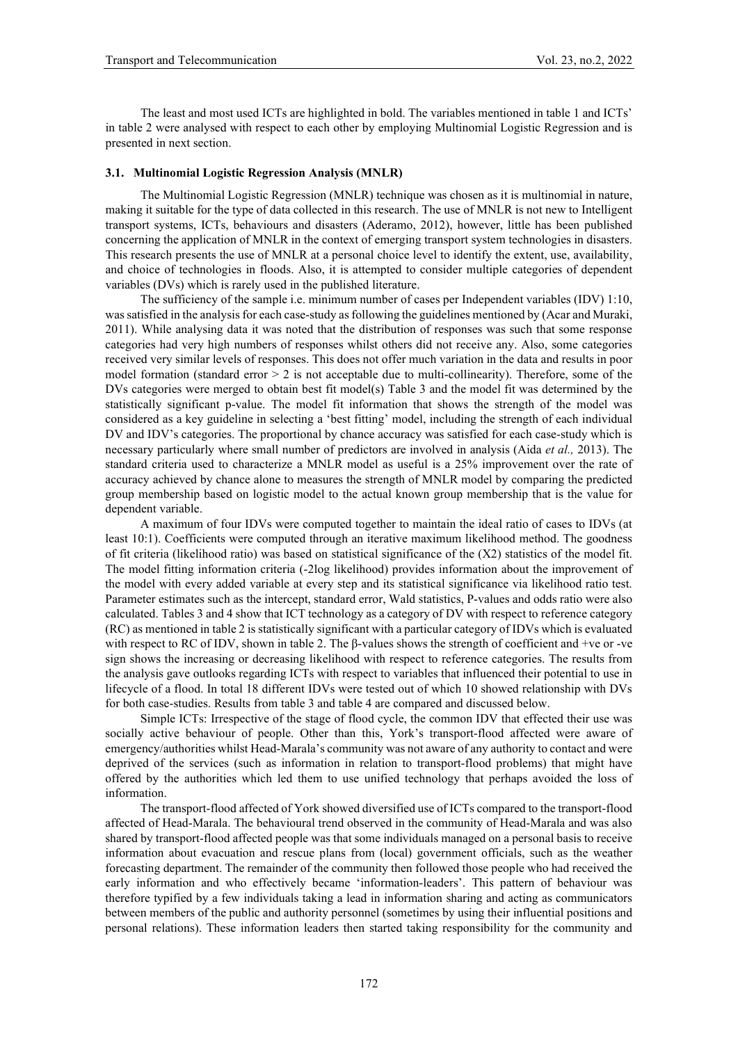The least and most used ICTs are highlighted in bold. The variables mentioned in table 1 and ICTs' in table 2 were analysed with respect to each other by employing Multinomial Logistic Regression and is presented in next section.

#### **3.1. Multinomial Logistic Regression Analysis (MNLR)**

The Multinomial Logistic Regression (MNLR) technique was chosen as it is multinomial in nature, making it suitable for the type of data collected in this research. The use of MNLR is not new to Intelligent transport systems, ICTs, behaviours and disasters (Aderamo, 2012), however, little has been published concerning the application of MNLR in the context of emerging transport system technologies in disasters. This research presents the use of MNLR at a personal choice level to identify the extent, use, availability, and choice of technologies in floods. Also, it is attempted to consider multiple categories of dependent variables (DVs) which is rarely used in the published literature.

The sufficiency of the sample i.e. minimum number of cases per Independent variables (IDV) 1:10, was satisfied in the analysis for each case-study as following the guidelines mentioned by (Acar and Muraki, 2011). While analysing data it was noted that the distribution of responses was such that some response categories had very high numbers of responses whilst others did not receive any. Also, some categories received very similar levels of responses. This does not offer much variation in the data and results in poor model formation (standard error  $> 2$  is not acceptable due to multi-collinearity). Therefore, some of the DVs categories were merged to obtain best fit model(s) Table 3 and the model fit was determined by the statistically significant p-value. The model fit information that shows the strength of the model was considered as a key guideline in selecting a 'best fitting' model, including the strength of each individual DV and IDV's categories. The proportional by chance accuracy was satisfied for each case-study which is necessary particularly where small number of predictors are involved in analysis (Aida *et al.,* 2013). The standard criteria used to characterize a MNLR model as useful is a 25% improvement over the rate of accuracy achieved by chance alone to measures the strength of MNLR model by comparing the predicted group membership based on logistic model to the actual known group membership that is the value for dependent variable.

A maximum of four IDVs were computed together to maintain the ideal ratio of cases to IDVs (at least 10:1). Coefficients were computed through an iterative maximum likelihood method. The goodness of fit criteria (likelihood ratio) was based on statistical significance of the (X2) statistics of the model fit. The model fitting information criteria (-2log likelihood) provides information about the improvement of the model with every added variable at every step and its statistical significance via likelihood ratio test. Parameter estimates such as the intercept, standard error, Wald statistics, P-values and odds ratio were also calculated. Tables 3 and 4 show that ICT technology as a category of DV with respect to reference category (RC) as mentioned in table 2 is statistically significant with a particular category of IDVs which is evaluated with respect to RC of IDV, shown in table 2. The β-values shows the strength of coefficient and +ve or -ve sign shows the increasing or decreasing likelihood with respect to reference categories. The results from the analysis gave outlooks regarding ICTs with respect to variables that influenced their potential to use in lifecycle of a flood. In total 18 different IDVs were tested out of which 10 showed relationship with DVs for both case-studies. Results from table 3 and table 4 are compared and discussed below.

Simple ICTs: Irrespective of the stage of flood cycle, the common IDV that effected their use was socially active behaviour of people. Other than this, York's transport-flood affected were aware of emergency/authorities whilst Head-Marala's community was not aware of any authority to contact and were deprived of the services (such as information in relation to transport-flood problems) that might have offered by the authorities which led them to use unified technology that perhaps avoided the loss of information.

The transport-flood affected of York showed diversified use of ICTs compared to the transport-flood affected of Head-Marala. The behavioural trend observed in the community of Head-Marala and was also shared by transport-flood affected people was that some individuals managed on a personal basis to receive information about evacuation and rescue plans from (local) government officials, such as the weather forecasting department. The remainder of the community then followed those people who had received the early information and who effectively became 'information-leaders'. This pattern of behaviour was therefore typified by a few individuals taking a lead in information sharing and acting as communicators between members of the public and authority personnel (sometimes by using their influential positions and personal relations). These information leaders then started taking responsibility for the community and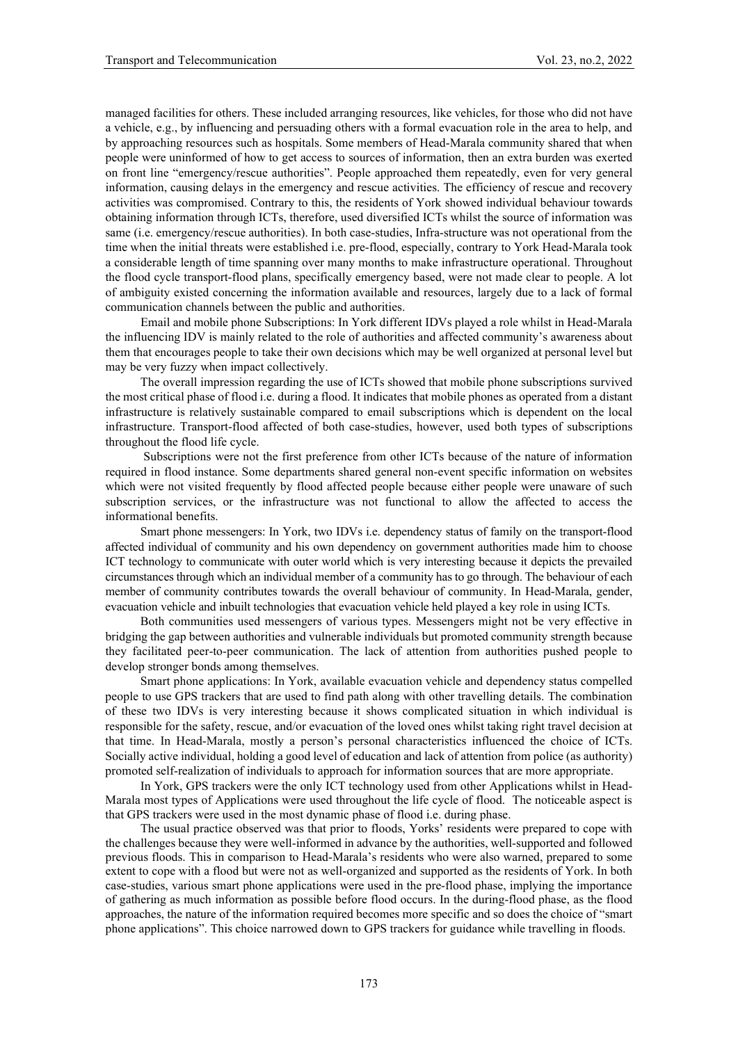managed facilities for others. These included arranging resources, like vehicles, for those who did not have a vehicle, e.g., by influencing and persuading others with a formal evacuation role in the area to help, and by approaching resources such as hospitals. Some members of Head-Marala community shared that when people were uninformed of how to get access to sources of information, then an extra burden was exerted on front line "emergency/rescue authorities". People approached them repeatedly, even for very general information, causing delays in the emergency and rescue activities. The efficiency of rescue and recovery activities was compromised. Contrary to this, the residents of York showed individual behaviour towards obtaining information through ICTs, therefore, used diversified ICTs whilst the source of information was same (i.e. emergency/rescue authorities). In both case-studies, Infra-structure was not operational from the time when the initial threats were established i.e. pre-flood, especially, contrary to York Head-Marala took a considerable length of time spanning over many months to make infrastructure operational. Throughout the flood cycle transport-flood plans, specifically emergency based, were not made clear to people. A lot of ambiguity existed concerning the information available and resources, largely due to a lack of formal communication channels between the public and authorities.

Email and mobile phone Subscriptions: In York different IDVs played a role whilst in Head-Marala the influencing IDV is mainly related to the role of authorities and affected community's awareness about them that encourages people to take their own decisions which may be well organized at personal level but may be very fuzzy when impact collectively.

The overall impression regarding the use of ICTs showed that mobile phone subscriptions survived the most critical phase of flood i.e. during a flood. It indicates that mobile phones as operated from a distant infrastructure is relatively sustainable compared to email subscriptions which is dependent on the local infrastructure. Transport-flood affected of both case-studies, however, used both types of subscriptions throughout the flood life cycle.

Subscriptions were not the first preference from other ICTs because of the nature of information required in flood instance. Some departments shared general non-event specific information on websites which were not visited frequently by flood affected people because either people were unaware of such subscription services, or the infrastructure was not functional to allow the affected to access the informational benefits.

Smart phone messengers: In York, two IDVs i.e. dependency status of family on the transport-flood affected individual of community and his own dependency on government authorities made him to choose ICT technology to communicate with outer world which is very interesting because it depicts the prevailed circumstances through which an individual member of a community has to go through. The behaviour of each member of community contributes towards the overall behaviour of community. In Head-Marala, gender, evacuation vehicle and inbuilt technologies that evacuation vehicle held played a key role in using ICTs.

Both communities used messengers of various types. Messengers might not be very effective in bridging the gap between authorities and vulnerable individuals but promoted community strength because they facilitated peer-to-peer communication. The lack of attention from authorities pushed people to develop stronger bonds among themselves.

Smart phone applications: In York, available evacuation vehicle and dependency status compelled people to use GPS trackers that are used to find path along with other travelling details. The combination of these two IDVs is very interesting because it shows complicated situation in which individual is responsible for the safety, rescue, and/or evacuation of the loved ones whilst taking right travel decision at that time. In Head-Marala, mostly a person's personal characteristics influenced the choice of ICTs. Socially active individual, holding a good level of education and lack of attention from police (as authority) promoted self-realization of individuals to approach for information sources that are more appropriate.

In York, GPS trackers were the only ICT technology used from other Applications whilst in Head-Marala most types of Applications were used throughout the life cycle of flood. The noticeable aspect is that GPS trackers were used in the most dynamic phase of flood i.e. during phase.

The usual practice observed was that prior to floods, Yorks' residents were prepared to cope with the challenges because they were well-informed in advance by the authorities, well-supported and followed previous floods. This in comparison to Head-Marala's residents who were also warned, prepared to some extent to cope with a flood but were not as well-organized and supported as the residents of York. In both case-studies, various smart phone applications were used in the pre-flood phase, implying the importance of gathering as much information as possible before flood occurs. In the during-flood phase, as the flood approaches, the nature of the information required becomes more specific and so does the choice of "smart phone applications". This choice narrowed down to GPS trackers for guidance while travelling in floods.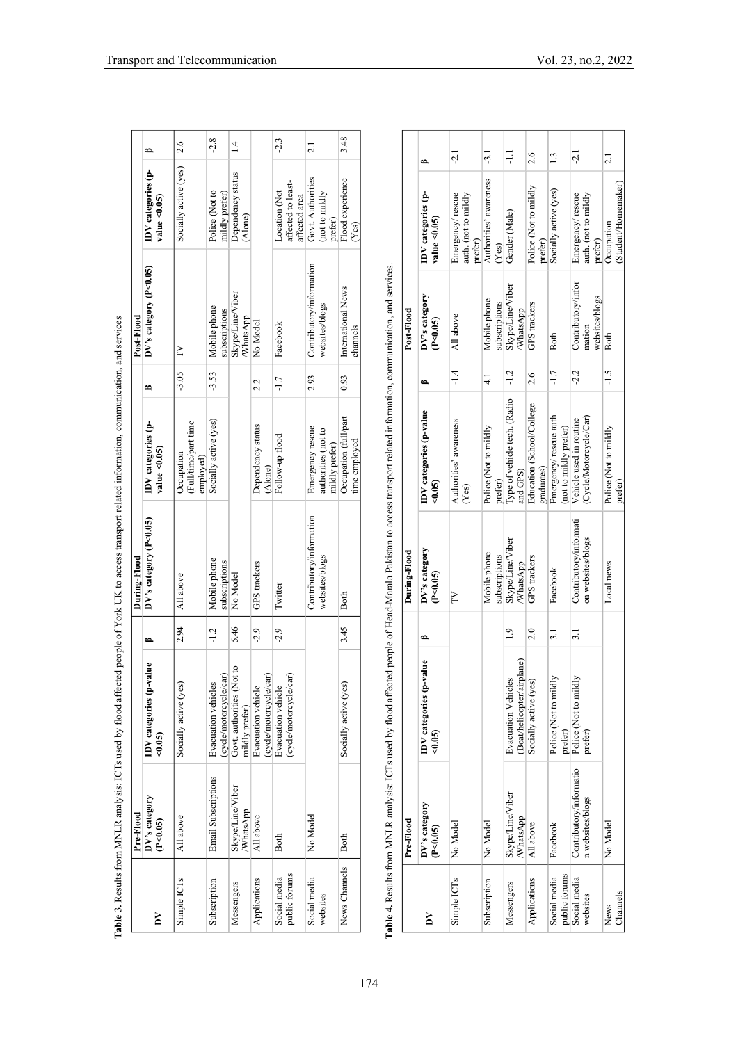|                               | Pre-Flood                    |                                                                                                                                                                       |        | During-Flood                                                       |                                                           |               | Post-Flood                                 |                                                      |            |
|-------------------------------|------------------------------|-----------------------------------------------------------------------------------------------------------------------------------------------------------------------|--------|--------------------------------------------------------------------|-----------------------------------------------------------|---------------|--------------------------------------------|------------------------------------------------------|------------|
| ă                             | DV's category<br>(P<0.05)    | IDV categories (p-value<br>50.05                                                                                                                                      | ఆ      | $DV's$ category $(P<0.05)$                                         | IDV categories (p-<br>value <0.05)                        | m             | $DV$ 's category $(P<0.05)$                | IDV categories (p-<br>value $\leq 0.05$ )            | ≏          |
| Simple ICTs                   | All above                    | Socially active (yes)                                                                                                                                                 | 2.94   | All above                                                          | (Full/time/part time<br>Occupation<br>employed)           | $-3.05$       | N                                          | Socially active (yes)                                | 2.6        |
| Subscription                  | Email Subscriptions          | cycle/motorcycle/car)<br>Evacuation vehicles                                                                                                                          | $-1.2$ | Mobile phone<br>subscriptions                                      | Socially active (yes)                                     | $-3.53$       | Mobile phone<br>subscriptions              | Police (Not to<br>mildly prefer)                     | $-2.8$     |
| Messengers                    | Skype/Line/Viber<br>WhatsApp | Govt. authorities (Not to<br>mildly prefer)                                                                                                                           | 5.46   | No Model                                                           |                                                           |               | Skype/Line/Viber<br>WhatsApp               | Dependency status<br>(Alone)                         | $\ddot{ }$ |
| Applications                  | All above                    | (cycle/motorcycle/car)<br>Evacuation vehicle                                                                                                                          | $-2.9$ | GPS trackers                                                       | Dependency status<br>(Alone)                              | 2.2           | No Model                                   |                                                      |            |
| public forums<br>Social media | <b>Both</b>                  | (cycle/motorcycle/car)<br>Evacuation vehicle                                                                                                                          | $-2.9$ | Twitter                                                            | Follow-up flood                                           | $-1.7$        | Facebook                                   | affected to least-<br>Location (Not<br>affected area | $-2.3$     |
| Social media<br>websites      | No Model                     |                                                                                                                                                                       |        | Contributory/information<br>websites/blogs                         | Emergency rescue<br>authorities (not to<br>mildly prefer) | 2.93          | Contributory/information<br>websites/blogs | Govt. Authorities<br>(not to mildly<br>prefer)       | 2.1        |
| News Channels                 | Both                         | Socially active (yes)                                                                                                                                                 | 3.45   | <b>Both</b>                                                        | Occupation (full/part<br>time employed                    | 0.93          | International News<br>channels             | Flood experience<br>(Yes)                            | 3.48       |
|                               |                              | Table 4. Results from MNLR analysis: ICTs used by flood affected people of Head-Marala Pakistan to access transport related information, communication, and services. |        |                                                                    |                                                           |               |                                            |                                                      |            |
|                               | Pre-Flood                    |                                                                                                                                                                       |        | During-Flood                                                       |                                                           |               | Post-Flood                                 |                                                      |            |
| $\mathbf{\Sigma}$             | DV's category<br>(P<0.05)    | IDV categories (p-value<br>40.05                                                                                                                                      | ¢      | $\text{DV's category} \xrightarrow{\text{category}} \text{P<0.05}$ | IDV categories (p-value<br>40.05                          | $\sim$        | DV's category<br>(P<0.05)                  | IDV categories (p-<br>value < $0.05$ )               | ≏          |
| Simple ICTs                   | No Model                     |                                                                                                                                                                       |        | N                                                                  | Authorities' awareness<br>(Yes)                           | $-1.4$        | All above                                  | auth. (not to mildly<br>Emergency/rescue<br>prefer)  | $-2.1$     |
| Subscription                  | No Model                     |                                                                                                                                                                       |        | Mobile phone<br>subscriptions                                      | Police (Not to mildly<br>prefer)                          | $\frac{1}{4}$ | Mobile phone<br>subscriptions              | Authorities' awareness<br>(Yes)                      | $-3.1$     |
| Messengers                    | Skype/Line/Viber<br>WhatsApp | (Boat/helicopter/airplane)<br><b>Evacuation Vehicles</b>                                                                                                              | 1.9    | Skype/Line/Viber<br>WhatsApp                                       | Type of vehicle tech. (Radio<br>and GPS)                  | $-1.2$        | Skype/Line/Viber<br>WhatsApp               | Gender (Male)                                        | Ę          |
| Applications                  | All above                    | Socially active (yes                                                                                                                                                  | 2.0    | GPS trackers                                                       | Education (School/College                                 | 2.6           | GPS trackers                               | Police (Not to mildly                                | 2.6        |

174

 $\overline{2.0}$  $\frac{1}{3}$ 

> Social media public forums

Facebook

Social media Social media<br>public forums<br>Social media<br>websites

News Channels

No Model

Facebook Police (Not to mildly

prefer) prefer)

Police (Not to mildly

3.1 Contributory/informati on websites/blogs

 $\overline{3.1}$ 

Contributory/informati<br>on websites/blogs

No Model Police (Not to mildly  $\blacksquare$  Local news

Local news

Contributory/informatio n websites/blogs

Contributory/information

Education (School/College<br>graduates)<br>Emergency/ rescue auth.<br>(not to mildly prefer)

(not to mildly prefer)

Vehicle used in routine (Cycle/Motorcycle/Car)

Vehicle used in routine<br>(Cycle/Motorcycle/Car)

Police (Not to mildly<br>prefer)

-1.5 Both Occupation

 $-1.5$ 

websites/blogs<br>Both

(Student/Homemaker)

2.1

-2.2 Contributory/infor  $\begin{array}{ll} \mbox{Contibutory/infor} \\ \mbox{mation} \end{array}$ websites/blogs

 $-2.2$  $-1.7$ 

Emergency/ rescue auth. (not to mildly prefer)<br>Occupation<br>(Student/Homemaker)

Emergency/ rescue<br>auth. (not to mildly

-2.1

 $\overline{13}$ 

3.1 Facebook Emergency/ rescue auth.

Facebook

Police (Not to mildly<br>prefer)<br>Socially active (yes)

-1.7 Both Socially active (yes) 1.3

Both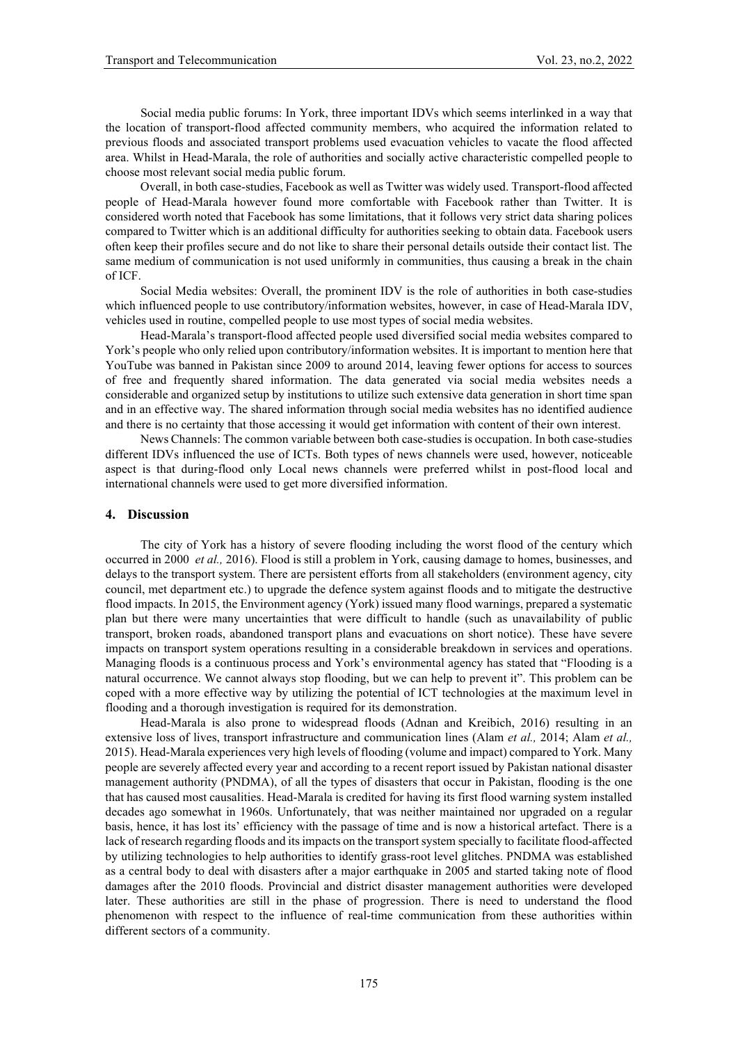Social media public forums: In York, three important IDVs which seems interlinked in a way that the location of transport-flood affected community members, who acquired the information related to previous floods and associated transport problems used evacuation vehicles to vacate the flood affected area. Whilst in Head-Marala, the role of authorities and socially active characteristic compelled people to choose most relevant social media public forum.

Overall, in both case-studies, Facebook as well as Twitter was widely used. Transport-flood affected people of Head-Marala however found more comfortable with Facebook rather than Twitter. It is considered worth noted that Facebook has some limitations, that it follows very strict data sharing polices compared to Twitter which is an additional difficulty for authorities seeking to obtain data. Facebook users often keep their profiles secure and do not like to share their personal details outside their contact list. The same medium of communication is not used uniformly in communities, thus causing a break in the chain of ICF.

Social Media websites: Overall, the prominent IDV is the role of authorities in both case-studies which influenced people to use contributory/information websites, however, in case of Head-Marala IDV, vehicles used in routine, compelled people to use most types of social media websites.

Head-Marala's transport-flood affected people used diversified social media websites compared to York's people who only relied upon contributory/information websites. It is important to mention here that YouTube was banned in Pakistan since 2009 to around 2014, leaving fewer options for access to sources of free and frequently shared information. The data generated via social media websites needs a considerable and organized setup by institutions to utilize such extensive data generation in short time span and in an effective way. The shared information through social media websites has no identified audience and there is no certainty that those accessing it would get information with content of their own interest.

News Channels: The common variable between both case-studies is occupation. In both case-studies different IDVs influenced the use of ICTs. Both types of news channels were used, however, noticeable aspect is that during-flood only Local news channels were preferred whilst in post-flood local and international channels were used to get more diversified information.

#### **4. Discussion**

The city of York has a history of severe flooding including the worst flood of the century which occurred in 2000 *et al.,* 2016). Flood is still a problem in York, causing damage to homes, businesses, and delays to the transport system. There are persistent efforts from all stakeholders (environment agency, city council, met department etc.) to upgrade the defence system against floods and to mitigate the destructive flood impacts. In 2015, the Environment agency (York) issued many flood warnings, prepared a systematic plan but there were many uncertainties that were difficult to handle (such as unavailability of public transport, broken roads, abandoned transport plans and evacuations on short notice). These have severe impacts on transport system operations resulting in a considerable breakdown in services and operations. Managing floods is a continuous process and York's environmental agency has stated that "Flooding is a natural occurrence. We cannot always stop flooding, but we can help to prevent it". This problem can be coped with a more effective way by utilizing the potential of ICT technologies at the maximum level in flooding and a thorough investigation is required for its demonstration.

Head-Marala is also prone to widespread floods (Adnan and Kreibich, 2016) resulting in an extensive loss of lives, transport infrastructure and communication lines (Alam *et al.,* 2014; Alam *et al.,* 2015). Head-Marala experiences very high levels of flooding (volume and impact) compared to York. Many people are severely affected every year and according to a recent report issued by Pakistan national disaster management authority (PNDMA), of all the types of disasters that occur in Pakistan, flooding is the one that has caused most causalities. Head-Marala is credited for having its first flood warning system installed decades ago somewhat in 1960s. Unfortunately, that was neither maintained nor upgraded on a regular basis, hence, it has lost its' efficiency with the passage of time and is now a historical artefact. There is a lack of research regarding floods and its impacts on the transport system specially to facilitate flood-affected by utilizing technologies to help authorities to identify grass-root level glitches. PNDMA was established as a central body to deal with disasters after a major earthquake in 2005 and started taking note of flood damages after the 2010 floods. Provincial and district disaster management authorities were developed later. These authorities are still in the phase of progression. There is need to understand the flood phenomenon with respect to the influence of real-time communication from these authorities within different sectors of a community.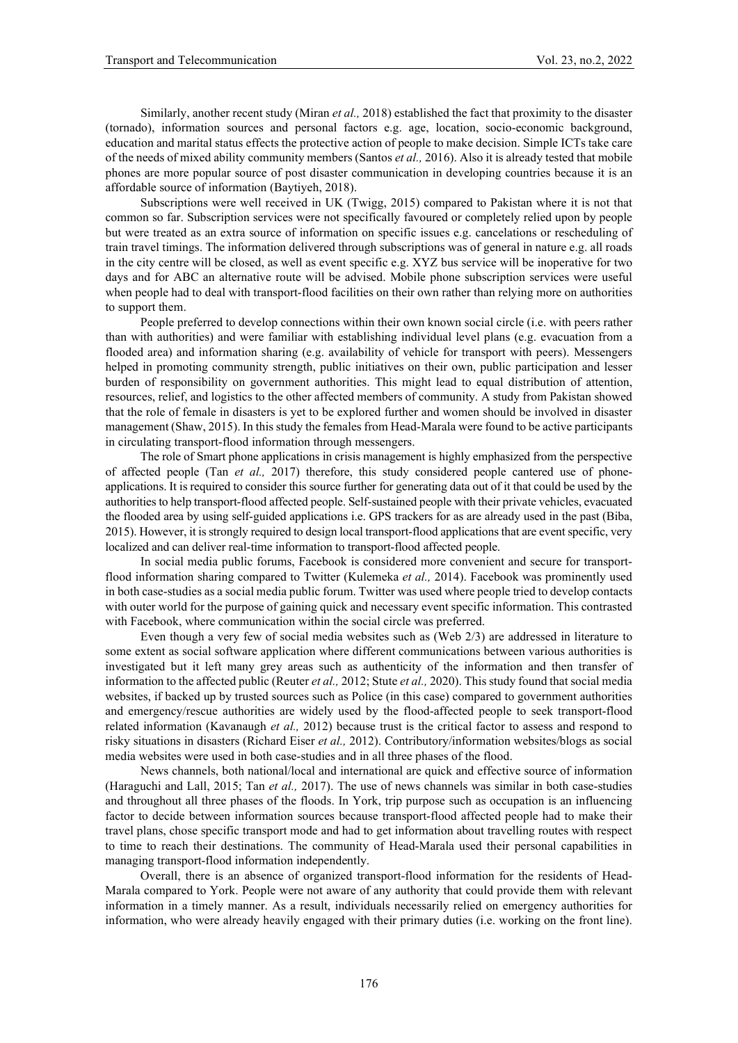Similarly, another recent study (Miran *et al.,* 2018) established the fact that proximity to the disaster (tornado), information sources and personal factors e.g. age, location, socio-economic background, education and marital status effects the protective action of people to make decision. Simple ICTs take care of the needs of mixed ability community members (Santos *et al.,* 2016). Also it is already tested that mobile phones are more popular source of post disaster communication in developing countries because it is an affordable source of information (Baytiyeh, 2018).

Subscriptions were well received in UK (Twigg, 2015) compared to Pakistan where it is not that common so far. Subscription services were not specifically favoured or completely relied upon by people but were treated as an extra source of information on specific issues e.g. cancelations or rescheduling of train travel timings. The information delivered through subscriptions was of general in nature e.g. all roads in the city centre will be closed, as well as event specific e.g. XYZ bus service will be inoperative for two days and for ABC an alternative route will be advised. Mobile phone subscription services were useful when people had to deal with transport-flood facilities on their own rather than relying more on authorities to support them.

People preferred to develop connections within their own known social circle (i.e. with peers rather than with authorities) and were familiar with establishing individual level plans (e.g. evacuation from a flooded area) and information sharing (e.g. availability of vehicle for transport with peers). Messengers helped in promoting community strength, public initiatives on their own, public participation and lesser burden of responsibility on government authorities. This might lead to equal distribution of attention, resources, relief, and logistics to the other affected members of community. A study from Pakistan showed that the role of female in disasters is yet to be explored further and women should be involved in disaster management (Shaw, 2015). In this study the females from Head-Marala were found to be active participants in circulating transport-flood information through messengers.

The role of Smart phone applications in crisis management is highly emphasized from the perspective of affected people (Tan *et al.,* 2017) therefore, this study considered people cantered use of phoneapplications. It is required to consider this source further for generating data out of it that could be used by the authorities to help transport-flood affected people. Self-sustained people with their private vehicles, evacuated the flooded area by using self-guided applications i.e. GPS trackers for as are already used in the past (Biba, 2015). However, it is strongly required to design local transport-flood applications that are event specific, very localized and can deliver real-time information to transport-flood affected people.

In social media public forums, Facebook is considered more convenient and secure for transportflood information sharing compared to Twitter (Kulemeka *et al.,* 2014). Facebook was prominently used in both case-studies as a social media public forum. Twitter was used where people tried to develop contacts with outer world for the purpose of gaining quick and necessary event specific information. This contrasted with Facebook, where communication within the social circle was preferred.

Even though a very few of social media websites such as (Web 2/3) are addressed in literature to some extent as social software application where different communications between various authorities is investigated but it left many grey areas such as authenticity of the information and then transfer of information to the affected public (Reuter *et al.,* 2012; Stute *et al.,* 2020). This study found that social media websites, if backed up by trusted sources such as Police (in this case) compared to government authorities and emergency/rescue authorities are widely used by the flood-affected people to seek transport-flood related information (Kavanaugh *et al.,* 2012) because trust is the critical factor to assess and respond to risky situations in disasters (Richard Eiser *et al.,* 2012). Contributory/information websites/blogs as social media websites were used in both case-studies and in all three phases of the flood.

News channels, both national/local and international are quick and effective source of information (Haraguchi and Lall, 2015; Tan *et al.,* 2017). The use of news channels was similar in both case-studies and throughout all three phases of the floods. In York, trip purpose such as occupation is an influencing factor to decide between information sources because transport-flood affected people had to make their travel plans, chose specific transport mode and had to get information about travelling routes with respect to time to reach their destinations. The community of Head-Marala used their personal capabilities in managing transport-flood information independently.

Overall, there is an absence of organized transport-flood information for the residents of Head-Marala compared to York. People were not aware of any authority that could provide them with relevant information in a timely manner. As a result, individuals necessarily relied on emergency authorities for information, who were already heavily engaged with their primary duties (i.e. working on the front line).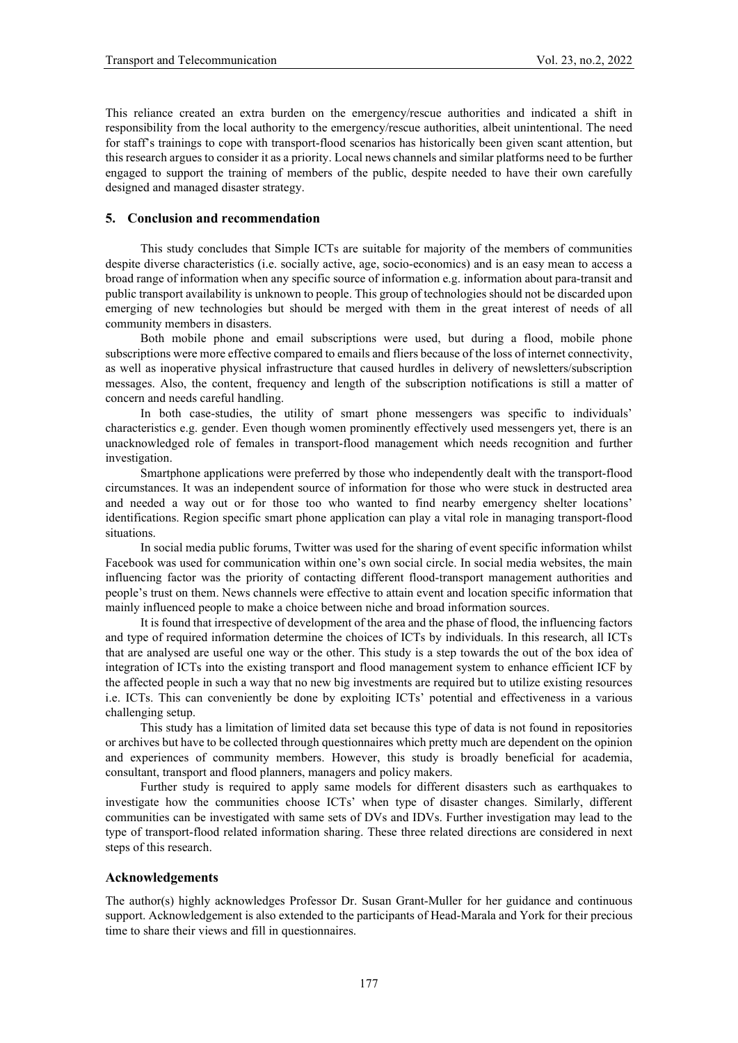This reliance created an extra burden on the emergency/rescue authorities and indicated a shift in responsibility from the local authority to the emergency/rescue authorities, albeit unintentional. The need for staff's trainings to cope with transport-flood scenarios has historically been given scant attention, but this research argues to consider it as a priority. Local news channels and similar platforms need to be further engaged to support the training of members of the public, despite needed to have their own carefully designed and managed disaster strategy.

#### **5. Conclusion and recommendation**

This study concludes that Simple ICTs are suitable for majority of the members of communities despite diverse characteristics (i.e. socially active, age, socio-economics) and is an easy mean to access a broad range of information when any specific source of information e.g. information about para-transit and public transport availability is unknown to people. This group of technologies should not be discarded upon emerging of new technologies but should be merged with them in the great interest of needs of all community members in disasters.

Both mobile phone and email subscriptions were used, but during a flood, mobile phone subscriptions were more effective compared to emails and fliers because of the loss of internet connectivity, as well as inoperative physical infrastructure that caused hurdles in delivery of newsletters/subscription messages. Also, the content, frequency and length of the subscription notifications is still a matter of concern and needs careful handling.

In both case-studies, the utility of smart phone messengers was specific to individuals' characteristics e.g. gender. Even though women prominently effectively used messengers yet, there is an unacknowledged role of females in transport-flood management which needs recognition and further investigation.

Smartphone applications were preferred by those who independently dealt with the transport-flood circumstances. It was an independent source of information for those who were stuck in destructed area and needed a way out or for those too who wanted to find nearby emergency shelter locations' identifications. Region specific smart phone application can play a vital role in managing transport-flood situations.

In social media public forums, Twitter was used for the sharing of event specific information whilst Facebook was used for communication within one's own social circle. In social media websites, the main influencing factor was the priority of contacting different flood-transport management authorities and people's trust on them. News channels were effective to attain event and location specific information that mainly influenced people to make a choice between niche and broad information sources.

It is found that irrespective of development of the area and the phase of flood, the influencing factors and type of required information determine the choices of ICTs by individuals. In this research, all ICTs that are analysed are useful one way or the other. This study is a step towards the out of the box idea of integration of ICTs into the existing transport and flood management system to enhance efficient ICF by the affected people in such a way that no new big investments are required but to utilize existing resources i.e. ICTs. This can conveniently be done by exploiting ICTs' potential and effectiveness in a various challenging setup.

This study has a limitation of limited data set because this type of data is not found in repositories or archives but have to be collected through questionnaires which pretty much are dependent on the opinion and experiences of community members. However, this study is broadly beneficial for academia, consultant, transport and flood planners, managers and policy makers.

Further study is required to apply same models for different disasters such as earthquakes to investigate how the communities choose ICTs' when type of disaster changes. Similarly, different communities can be investigated with same sets of DVs and IDVs. Further investigation may lead to the type of transport-flood related information sharing. These three related directions are considered in next steps of this research.

#### **Acknowledgements**

The author(s) highly acknowledges Professor Dr. Susan Grant-Muller for her guidance and continuous support. Acknowledgement is also extended to the participants of Head-Marala and York for their precious time to share their views and fill in questionnaires.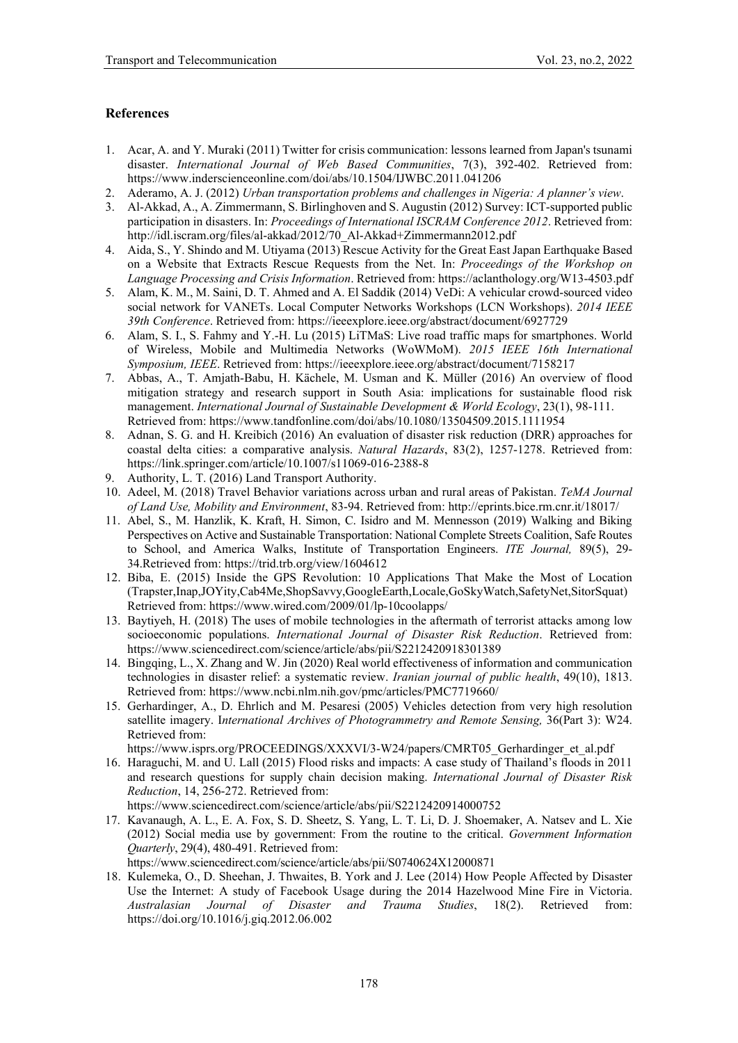## **References**

- 1. Acar, A. and Y. Muraki (2011) Twitter for crisis communication: lessons learned from Japan's tsunami disaster. *International Journal of Web Based Communities*, 7(3), 392-402. Retrieved from: https://www.inderscienceonline.com/doi/abs/10.1504/IJWBC.2011.041206
- 2. Aderamo, A. J. (2012) *Urban transportation problems and challenges in Nigeria: A planner's view*.
- 3. Al-Akkad, A., A. Zimmermann, S. Birlinghoven and S. Augustin (2012) Survey: ICT-supported public participation in disasters. In: *Proceedings of International ISCRAM Conference 2012*. Retrieved from: http://idl.iscram.org/files/al-akkad/2012/70\_Al-Akkad+Zimmermann2012.pdf
- 4. Aida, S., Y. Shindo and M. Utiyama (2013) Rescue Activity for the Great East Japan Earthquake Based on a Website that Extracts Rescue Requests from the Net. In: *Proceedings of the Workshop on Language Processing and Crisis Information*. Retrieved from: https://aclanthology.org/W13-4503.pdf
- 5. Alam, K. M., M. Saini, D. T. Ahmed and A. El Saddik (2014) VeDi: A vehicular crowd-sourced video social network for VANETs. Local Computer Networks Workshops (LCN Workshops). *2014 IEEE 39th Conference*. Retrieved from: https://ieeexplore.ieee.org/abstract/document/6927729
- 6. Alam, S. I., S. Fahmy and Y.-H. Lu (2015) LiTMaS: Live road traffic maps for smartphones. World of Wireless, Mobile and Multimedia Networks (WoWMoM). *2015 IEEE 16th International Symposium, IEEE*. Retrieved from: https://ieeexplore.ieee.org/abstract/document/7158217
- 7. Abbas, A., T. Amjath-Babu, H. Kächele, M. Usman and K. Müller (2016) An overview of flood mitigation strategy and research support in South Asia: implications for sustainable flood risk management. *International Journal of Sustainable Development & World Ecology*, 23(1), 98-111. Retrieved from: https://www.tandfonline.com/doi/abs/10.1080/13504509.2015.1111954
- 8. Adnan, S. G. and H. Kreibich (2016) An evaluation of disaster risk reduction (DRR) approaches for coastal delta cities: a comparative analysis. *Natural Hazards*, 83(2), 1257-1278. Retrieved from: https://link.springer.com/article/10.1007/s11069-016-2388-8
- 9. Authority, L. T. (2016) Land Transport Authority.
- 10. Adeel, M. (2018) Travel Behavior variations across urban and rural areas of Pakistan. *TeMA Journal of Land Use, Mobility and Environment*, 83-94. Retrieved from: http://eprints.bice.rm.cnr.it/18017/
- 11. Abel, S., M. Hanzlik, K. Kraft, H. Simon, C. Isidro and M. Mennesson (2019) Walking and Biking Perspectives on Active and Sustainable Transportation: National Complete Streets Coalition, Safe Routes to School, and America Walks, Institute of Transportation Engineers. *ITE Journal,* 89(5), 29- 34.Retrieved from: https://trid.trb.org/view/1604612
- 12. Biba, E. (2015) Inside the GPS Revolution: 10 Applications That Make the Most of Location (Trapster,Inap,JOYity,Cab4Me,ShopSavvy,GoogleEarth,Locale,GoSkyWatch,SafetyNet,SitorSquat) Retrieved from: https://www.wired.com/2009/01/lp-10coolapps/
- 13. Baytiyeh, H. (2018) The uses of mobile technologies in the aftermath of terrorist attacks among low socioeconomic populations. *International Journal of Disaster Risk Reduction*. Retrieved from: https://www.sciencedirect.com/science/article/abs/pii/S2212420918301389
- 14. Bingqing, L., X. Zhang and W. Jin (2020) Real world effectiveness of information and communication technologies in disaster relief: a systematic review. *Iranian journal of public health*, 49(10), 1813. Retrieved from: https://www.ncbi.nlm.nih.gov/pmc/articles/PMC7719660/
- 15. Gerhardinger, A., D. Ehrlich and M. Pesaresi (2005) Vehicles detection from very high resolution satellite imagery. I*nternational Archives of Photogrammetry and Remote Sensing,* 36(Part 3): W24. Retrieved from:

https://www.isprs.org/PROCEEDINGS/XXXVI/3-W24/papers/CMRT05\_Gerhardinger\_et\_al.pdf

- 16. Haraguchi, M. and U. Lall (2015) Flood risks and impacts: A case study of Thailand's floods in 2011 and research questions for supply chain decision making. *International Journal of Disaster Risk Reduction*, 14, 256-272. Retrieved from:
- https://www.sciencedirect.com/science/article/abs/pii/S2212420914000752 17. Kavanaugh, A. L., E. A. Fox, S. D. Sheetz, S. Yang, L. T. Li, D. J. Shoemaker, A. Natsev and L. Xie (2012) Social media use by government: From the routine to the critical. *Government Information Quarterly*, 29(4), 480-491. Retrieved from:
	- https://www.sciencedirect.com/science/article/abs/pii/S0740624X12000871
- 18. Kulemeka, O., D. Sheehan, J. Thwaites, B. York and J. Lee (2014) How People Affected by Disaster Use the Internet: A study of Facebook Usage during the 2014 Hazelwood Mine Fire in Victoria. *Australasian Journal of Disaster and Trauma Studies*, 18(2). Retrieved from: https://doi.org/10.1016/j.giq.2012.06.002